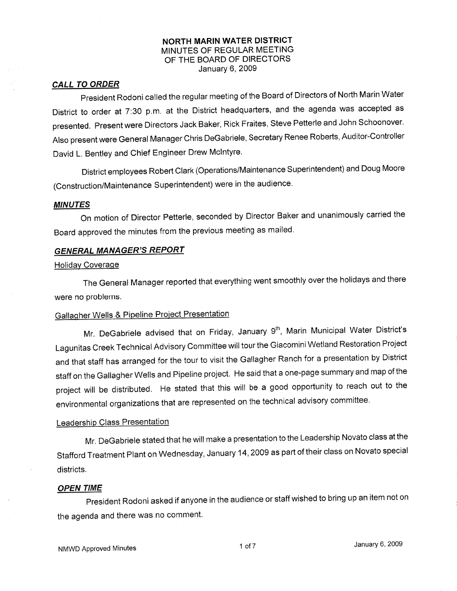## NORTH MARIN WATER DISTRICT MINUTES OF REGULAR MEETING OF THE BOARD OF DIRECTORS January 6, 2009

#### CALL TO ORDER

president Rodoni called the regular meeting of the Board of Directors of Norlh Marin Water District to order at 7:30 p.m. at the District headquarters, and the agenda was accepted as presented. Present were Directors Jack Baker, Rick Fraites, Steve Petterle and John Schoonover. Also present were General Manager Chris DeGabriele, Secretary Renee Roberts, Auditor-Controller David L. Bentley and Chief Engineer Drew McIntyre.

District employees Robert Clark (Operations/Maintenance Superintendent) and Doug Moore (Construction/Maintenance Superintendent) were in the audience'

#### MINUTES

On motion of Director Petterle, seconded by Director Baker and unanimously carried the Board approved the minutes from the previous meeting as mailed.

# **GENERAL MANAGER'S REPORT**

#### Holiday Coverage

The General Manager reported that everything went smoothly over the holidays and there were no problems.

# Gallagher Wells & Pipeline Project Presentation

Mr. DeGabriele advised that on Friday, January 9<sup>th</sup>, Marin Municipal Water District's Lagunitas Creek Technical Advisory Committee will tour the Giacomini Wetland Restoration Project and that staff has arranged for the tour to visit the Gallagher Ranch for a presentation by District staff on the Gallagher Wells and Pipeline project. He said that a one-page summary and map of the project will be distributed. He stated that this will be a good opportunity to reach out to the environmental organizations that are represented on the technical advisory committee.

#### Leadership Class Presentation

Mr. DeGabriele stated that he will make a presentation to the Leadership Novato class at the Stafford Treatment Plant on Wednesday, January 14, 2009 as part of their class on Novato special districts

#### OPEN TIME

president Rodoni asked if anyone in the audience or staff wished to bring up an item not on the agenda and there was no comment.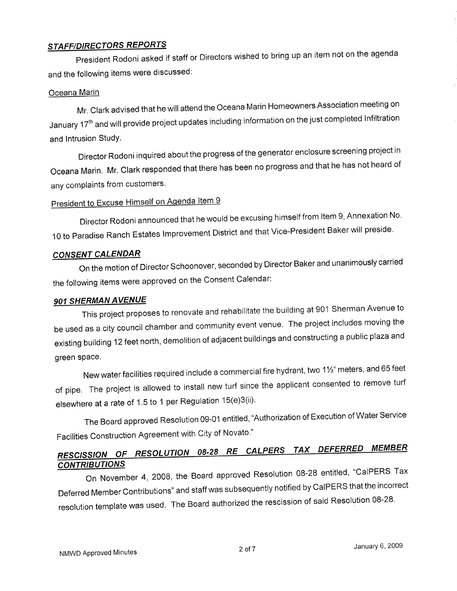# STAFF/DIRECTORS REPORTS

president Rodoni asked if staff or Directors wished to bring up an item not on the agenda and the following items were discussed'

## Oceana Marin

Mr. Clark advised that he will attend the oceana Marin Homeowners Association meeting on January 17<sup>th</sup> and will provide project updates including information on the just completed Infiltration and lntrusion StudY.

Director Rodoni inquired about the progress of the generator enclosure screening project in oceana Marin. Mr. clark responded that there has been no progress and that he has not heard of any complaints from customers.

# President to Excuse Himself on Agenda Item 9

Director Rodoni announced that he would be excusing himself from Item 9, Annexation No. 10 to Paradise Ranch Estates Improvement District and that Vice-President Baker will preside.

# **CONSENT CALENDAR**

on the motion of Director schoonover, seconded by Director Baker and unanimously carried the following items were approved on the Consent Calendar:

# 901 SHERMAN AVENUE

This project proposes to renovate and rehabilitate the building at 901 Sherman Avenue to be used as a city council chamber and community event venue. The project includes moving the existing building 12 feet north, demolition of adjacent buildings and constructing a public plaza and green space.

New water facilities required include a commercial fire hydrant, two 1 $\frac{1}{2}$ " meters, and 65 feet of pipe. The project is allowed to install new turf since the applicant consented to remove turf elsewhere at a rate of 1.5 to 1 per Regulation  $15(e)3(ii)$ .

The Board approved Resolution Og-01 entitled, "Authorization of Execution of Water Service Facilities Construction Agreement with City of Novato "

# RESCISSION OF RESOLUTION 08-28 RE CALPERS TAX DEFERRED MEMBER **CONTRIBUTIONS**

On November 4, 2008, the Board approved Resolution 08-28 entitled, "CaIPERS Tax Deferred Member Contributions" and staff was subsequently notified by CalPERS that the incorrect resolution template was used. The Board authorized the rescission of said Resolution 08-28.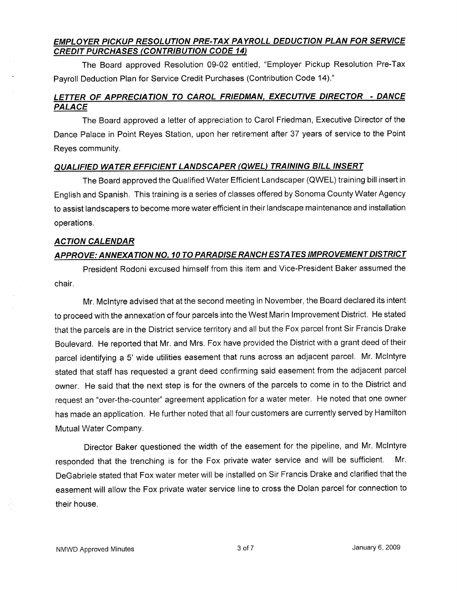# EMPLOYER PICKUP RESOLUTION PRE.TAX PAYROLL DEDUCTION PLAN FOR SERVICE **CREDIT PURCHASES (CONTRIBUTION CODE 14)**

The Board approved Resolution 09-02 entitled, "Employer Pickup Resolution Pre-Tax Payroll Deduction Plan for Service Credit Purchases (Contribution Code 14)."

# LETTER OF APPRECIATION TO CAROL FRIEDMAN, EXECUTIVE DIRECTOR - DANCE PALACE

The Board approved a letter of appreciation to Carol Friedman, Executive Director of the Dance Palace in Point Reyes Station, upon her retirement after 37 years of service to the Point Reyes community.

## QUALIFIED WATER EFFICIENT LANDSCAPER (QWEL) TRAINING BILL INSERT

The Board approved the Qualified Water Efficient Landscaper (QWEL) training bill insert in English and Spanish. This training is a series of classes offered by Sonoma County WaterAgency to assist landscapers to become more water efficient in their landscape maintenance and installation operations.

## **ACTION CALENDAR**

# APPROVE: ANNEXATION NO. 10 TO PARADISE RANCH ESTATES IMPROVEMENT DISTRICT

President Rodoni excused himself from this item and Vice-President Baker assumed the chair

Mr. Mclntyre advised that at the second meeting in November, the Board declared its intent to proceed with the annexation of four parcels into the West Marin lmprovement District. He stated that the parcels are in the District service territory and all but the Fox parcel front Sir Francis Drake Boulevard. He reported that Mr. and Mrs. Fox have provided the District with a grant deed of their parcel identifying a 5' wide utilities easement that runs across an adjacent parcel. Mr. Mclntyre stated that staff has requested a grant deed confirming said easement from the adjacent parcel owner. He said that the next step is for the owners of the parcels to come in to the District and request an "over-the-counter" agreement application for a water meter. He noted that one owner has made an application. He further noted that all four customers are currently served by Hamilton Mutual Water Company.

Director Baker questioned the width of the easement for the pipeline, and Mr. Mclntyre responded that the trenching is for the Fox private water service and will be sufficient. Mr. DeGabriele stated that Fox water meter will be installed on Sir Francis Drake and clarified that the easement will allow the Fox private water service line to cross the Dolan parcel for connection to their house.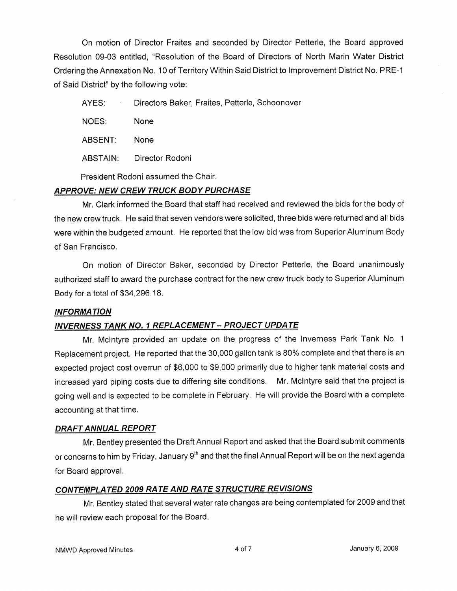On motion of Director Fraites and seconded by Director Petterle, the Board approved Resolution 09-03 entitled, "Resolution of the Board of Directors of North Marin Water District Ordering the Annexation No. 10 of Territory Within Said District to lmprovement District No. PRE-1 of Said District" by the following vote:

AYES: Directors Baker, Fraites, Petterle, Schoonover

NOES: None

ABSENT: None

ABSTAIN: Director Rodoni

President Rodoni assumed the Chair.

## APPROVE: NEW CREW TRUCK BODY PURCHASE

Mr. Clark informed the Board that staff had received and reviewed the bids for the body of the new crew truck. He said that seven vendors were solicited, three bids were returned and all bids were within the budgeted amount. He reported that the low bid was from Superior Aluminum Body of San Francisco.

On motion of Director Baker, seconded by Director Petterle, the Board unanimously authorized staff to award the purchase contract for the new crew truck body to Superior Aluminum Body for a total of \$34,296.18.

### **INFORMATION**

# INVERNESS TANK NO. 1 REPLACEMENT - PROJECT UPDATE

Mr. Mclntyre provided an update on the progress of the lnverness Park Tank No. <sup>1</sup> Replacement project. He reported that the 30,000 gallon tank is 80% complete and that there is an expected project cost overrun of \$6,000 to \$9,000 primarily due to higher tank material costs and increased yard piping costs due to differing site conditions. Mr. Mclntyre said that the project is going well and is expected to be complete in February. He will provide the Board with a complete accounting at that time.

### DRAFT ANNUAL REPORT

Mr. Bentley presented the Draft Annual Report and asked that the Board submit comments or concerns to him by Friday, January 9<sup>th</sup> and that the final Annual Report will be on the next agenda for Board approval.

# CONTEMPLATED 2009 RATE AND RATE STRUCTURE REVISIONS

Mr. Bentley stated that several water rate changes are being contemplated for 2009 and that he will review each proposal for the Board.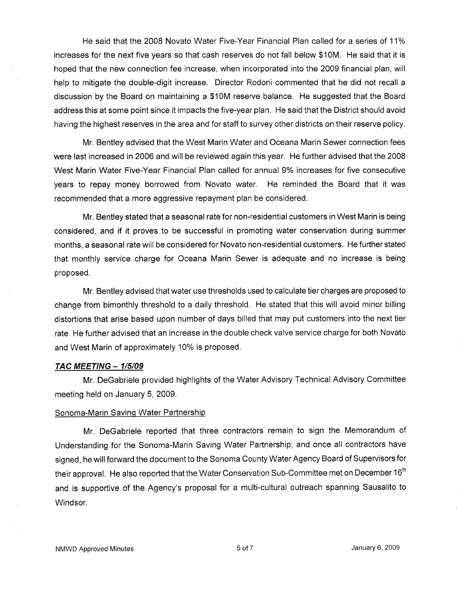He said that the 2008 Novato Water Five-Year Financial Plan called for a series of 11% increases for the next five years so that cash reserves do not fall below \$10M. He said that it is hoped that the new connection fee increase, when incorporated into the 2009 financial plan, will help to mitigate the double-digit increase. Director Rodoni commented that he did not recall a discussion by the Board on maintaining a \$10M reserve balance. He suggested that the Board address this at some point since it impacts the five-year plan. He said that the District should avoid having the highest reserves in the area and for staff to survey other districts on their reserve policy.

Mr. Bentley advised that the West Marin Water and Oceana Marin Sewer connection fees were last increased in 2006 and will be reviewed again this year. He further advised that the 2008 West Marin Water Five-Year Financial Plan called for annual 9% increases for five consecutive years to repay money þorrowed from Novato water. He reminded the Board that it was recommended that a more aggressive repayment plan be considered.

Mr. Bentley stated that a seasonal rate for non-residential customers in West Marin is being considered, and if it proves to be successful in promoting water conservation during summer months, a seasonal rate will be considered for Novato non-residential customers. He further stated that monthly service charge for Oceana Marin Sewer is adequate and no increase is being proposed.

Mr. Bentley advised that water use thresholds used to calculate tier charges are proposed to change from bimonthly threshold to a daily threshold. He stated that this will avoid minor billing distortions that arise based upon number of days billed that may put customers into the next tier rate, He further advised that an increase in the double check valve service charge for both Novato and West Marin of approximately 10% is proposed.

#### TAC MEETING - 1/5/09

Mr. DeGabriele provided highlights of the Water Advisory Technical Advisory Committee meeting held on January 5, 2009.

#### Sonoma-Marin Saving Water Partnership

Mr. DeGabriele reported that three contractors remain to sign the Memorandum of Understanding for the Sonoma-Marin Saving Water Partnership; and once all contractors have signed, he will forward the document to the Sonoma County Water Agency Board of Supervisors for their approval. He also reported that the Water Conservation Sub-Committee met on December 16<sup>th</sup> and is supportive of the Agency's proposal for a multi-cultural outreach spanning Sausalito to Windsor.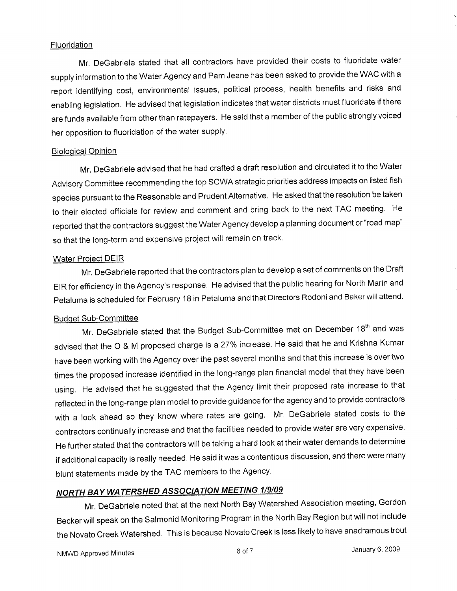### **Fluoridation**

Mr. DeGabriele stated that all contractors have provided their costs to fluoridate water supply information to the Water Agency and Pam Jeane has been asked to provide the WAC with <sup>a</sup> report identifying cost, environmental issues, political process, health benefits and risks and enabling legislation. He advised that legislation indicates that water districts must fluoridate if there are funds available from other than ratepayers. He said that a member of the public strongly voiced her opposition to fluoridation of the water supply.

#### Biological Opinion

Mr. DeGabriele advised that he had crafted a draft resolution and circulated it to the Water Advisory Committee recommending the top SCWA strategic priorities address impacts on listed fish species pursuant to the Reasonable and Prudent Alternative. He asked that the resolution be taken to their elected officials for review and comment and bring back to the next TAC meeting. He reported that the contractors suggest the Water Agency develop a planning document or "road map" so that the long-term and expensive project will remain on track.

#### Water Project DEIR

Mr. DeGabriele reported that the contractors plan to develop a set of comments on the Draft EIR for efficiency in the Agency's response, He advised that the public hearing for Norlh Marin and Petaluma is scheduled for February 18 in Petaluma and that Directors Rodoni and Baker will attend.

# **Budget Sub-Committee**

Mr. DeGabriele stated that the Budget Sub-Committee met on December 18<sup>th</sup> and was advised that the O & M proposed charge is a 27% increase. He said that he and Krishna Kumar have been working with the Agency over the past several months and that this increase is over two times the proposed increase identified in the long-range plan financial model that they have been using. He advised that he suggested that the Agency limit their proposed rate increase to that reflected in the long-range plan model to provide guidance for the agency and to provide contractors with a look ahead so they know where rates are going. Mr. DeGabriele stated costs to the contractors continually increase and that the facilities needed to provide water are very expensive. He further stated that the contractors will þe taking a hard look at their water demands to determine if additional capacity is really needed. He said it was a contentious discussion, and there were many blunt statements made by the TAC members to the Agency.

# **NORTH BAY WATERSHED ASSOCIATION MEETING 1/9/09**

Mr. DeGabriele noted that at the next North Bay Watershed Association meeting, Gordon Becker will speak on the Salmonid Monitoring Program in the North Bay Region but will not include the Novato creek watershed. This is because Novato creek is less likely to have anadramous trout